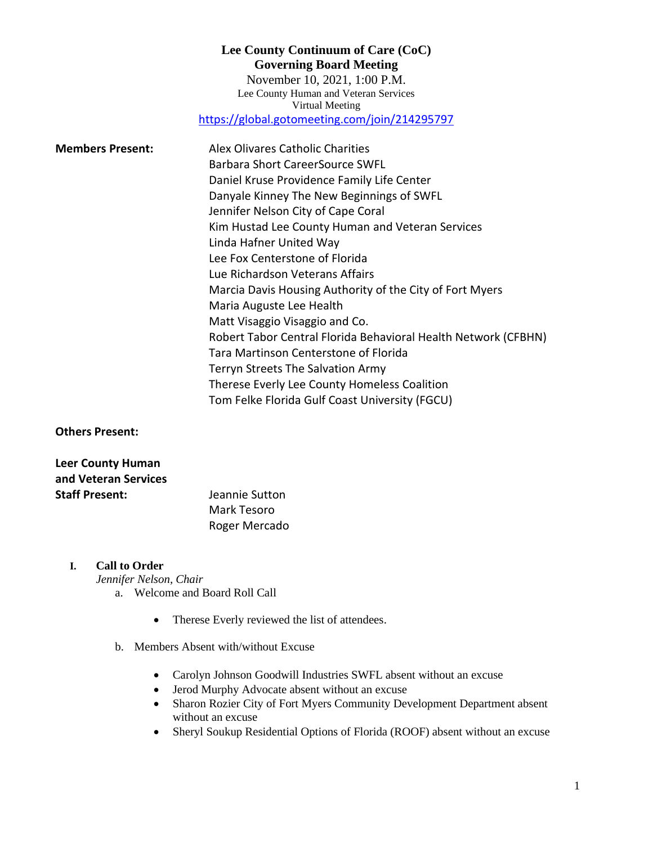# **Lee County Continuum of Care (CoC) Governing Board Meeting** November 10, 2021, 1:00 P.M. Lee County Human and Veteran Services Virtual Meeting <https://global.gotomeeting.com/join/214295797>

| <b>Members Present:</b> | Alex Olivares Catholic Charities                               |
|-------------------------|----------------------------------------------------------------|
|                         | <b>Barbara Short CareerSource SWFL</b>                         |
|                         | Daniel Kruse Providence Family Life Center                     |
|                         | Danyale Kinney The New Beginnings of SWFL                      |
|                         | Jennifer Nelson City of Cape Coral                             |
|                         | Kim Hustad Lee County Human and Veteran Services               |
|                         | Linda Hafner United Way                                        |
|                         | Lee Fox Centerstone of Florida                                 |
|                         | Lue Richardson Veterans Affairs                                |
|                         | Marcia Davis Housing Authority of the City of Fort Myers       |
|                         | Maria Auguste Lee Health                                       |
|                         | Matt Visaggio Visaggio and Co.                                 |
|                         | Robert Tabor Central Florida Behavioral Health Network (CFBHN) |
|                         | Tara Martinson Centerstone of Florida                          |
|                         | Terryn Streets The Salvation Army                              |
|                         | Therese Everly Lee County Homeless Coalition                   |
|                         | Tom Felke Florida Gulf Coast University (FGCU)                 |

**Others Present:**

| <b>Leer County Human</b> |                |
|--------------------------|----------------|
| and Veteran Services     |                |
| <b>Staff Present:</b>    | Jeannie Sutton |
|                          | Mark Tesoro    |
|                          | Roger Mercado  |

### **I. Call to Order**

*Jennifer Nelson, Chair*

- a. Welcome and Board Roll Call
	- Therese Everly reviewed the list of attendees.
- b. Members Absent with/without Excuse
	- Carolyn Johnson Goodwill Industries SWFL absent without an excuse
	- Jerod Murphy Advocate absent without an excuse
	- Sharon Rozier City of Fort Myers Community Development Department absent without an excuse
	- Sheryl Soukup Residential Options of Florida (ROOF) absent without an excuse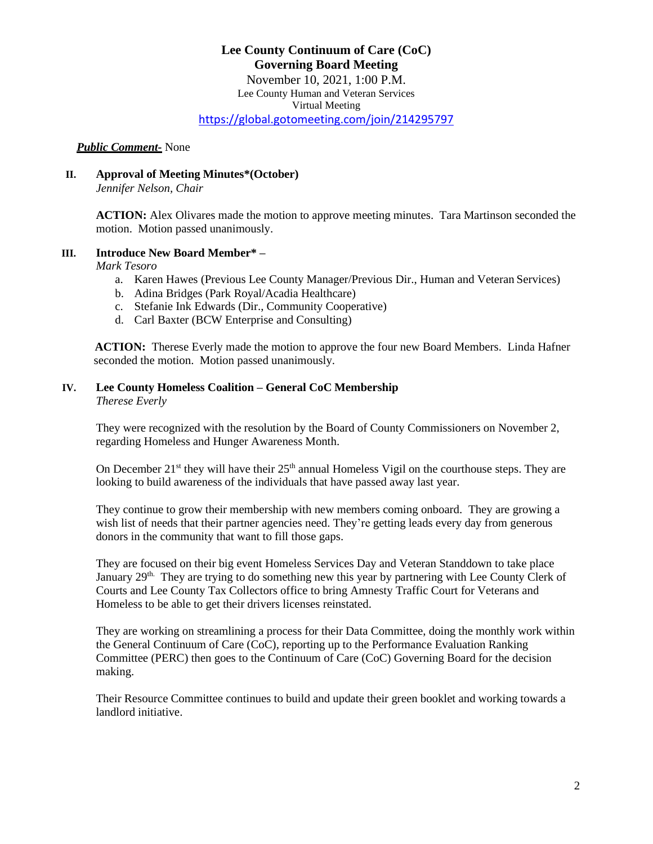### **Lee County Continuum of Care (CoC) Governing Board Meeting** November 10, 2021, 1:00 P.M. Lee County Human and Veteran Services Virtual Meeting <https://global.gotomeeting.com/join/214295797>

#### *Public Comment-* None

### **II. Approval of Meeting Minutes\*(October)**

*Jennifer Nelson, Chair*

**ACTION:** Alex Olivares made the motion to approve meeting minutes. Tara Martinson seconded the motion. Motion passed unanimously.

#### **III. Introduce New Board Member\* –**

*Mark Tesoro*

- a. Karen Hawes (Previous Lee County Manager/Previous Dir., Human and Veteran Services)
- b. Adina Bridges (Park Royal/Acadia Healthcare)
- c. Stefanie Ink Edwards (Dir., Community Cooperative)
- d. Carl Baxter (BCW Enterprise and Consulting)

 **ACTION:** Therese Everly made the motion to approve the four new Board Members. Linda Hafner seconded the motion. Motion passed unanimously.

# **IV. Lee County Homeless Coalition – General CoC Membership**

*Therese Everly*

They were recognized with the resolution by the Board of County Commissioners on November 2, regarding Homeless and Hunger Awareness Month.

On December  $21^{st}$  they will have their  $25^{th}$  annual Homeless Vigil on the courthouse steps. They are looking to build awareness of the individuals that have passed away last year.

They continue to grow their membership with new members coming onboard. They are growing a wish list of needs that their partner agencies need. They're getting leads every day from generous donors in the community that want to fill those gaps.

They are focused on their big event Homeless Services Day and Veteran Standdown to take place January 29<sup>th.</sup> They are trying to do something new this year by partnering with Lee County Clerk of Courts and Lee County Tax Collectors office to bring Amnesty Traffic Court for Veterans and Homeless to be able to get their drivers licenses reinstated.

They are working on streamlining a process for their Data Committee, doing the monthly work within the General Continuum of Care (CoC), reporting up to the Performance Evaluation Ranking Committee (PERC) then goes to the Continuum of Care (CoC) Governing Board for the decision making.

Their Resource Committee continues to build and update their green booklet and working towards a landlord initiative.